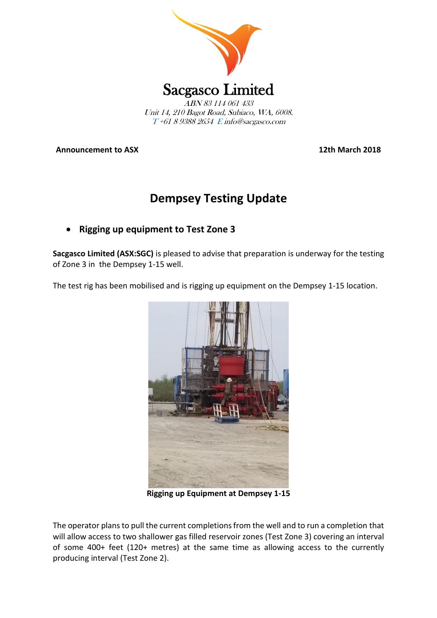

**Announcement to ASX 12th March 2018**

# **Dempsey Testing Update**

# • **Rigging up equipment to Test Zone 3**

**Sacgasco Limited (ASX:SGC)** is pleased to advise that preparation is underway for the testing of Zone 3 in the Dempsey 1-15 well.

The test rig has been mobilised and is rigging up equipment on the Dempsey 1-15 location.



**Rigging up Equipment at Dempsey 1-15**

The operator plans to pull the current completions from the well and to run a completion that will allow access to two shallower gas filled reservoir zones (Test Zone 3) covering an interval of some 400+ feet (120+ metres) at the same time as allowing access to the currently producing interval (Test Zone 2).